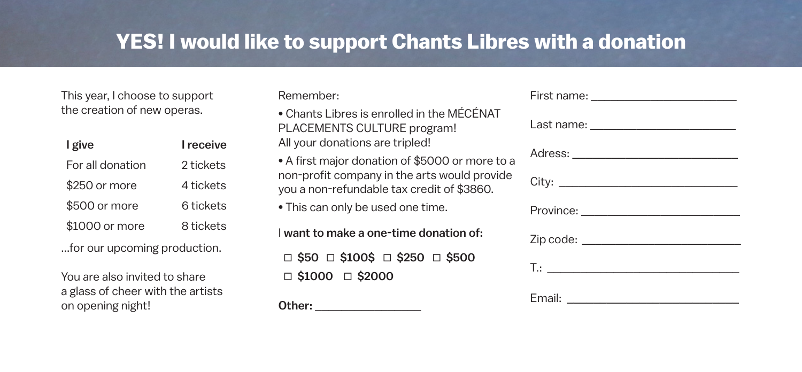## **YES! I would like to support Chants Libres with a donation**

This year, I choose to support the creation of new operas.

| I give           | I receive |
|------------------|-----------|
| For all donation | 2 tickets |
| \$250 or more    | 4 tickets |
| \$500 or more    | 6 tickets |
| \$1000 or more   | 8 tickets |
|                  |           |

...for our upcoming production.

You are also invited to share a glass of cheer with the artists on opening night!

Remember:

• Chants Libres is enrolled in the MÉCÉNAT PLACEMENTS CULTURE program! All your donations are tripled!

• A first major donation of \$5000 or more to a non-profit company in the arts would provide you a non-refundable tax credit of \$3860.

• This can only be used one time.

I want to make a one-time donation of:  $\Box$  \$50  $\Box$  \$100\$  $\Box$  \$250  $\Box$  \$500  $\Box$  \$1000  $\Box$  \$2000

Other: \_\_\_\_\_\_\_\_\_\_\_\_\_\_\_\_